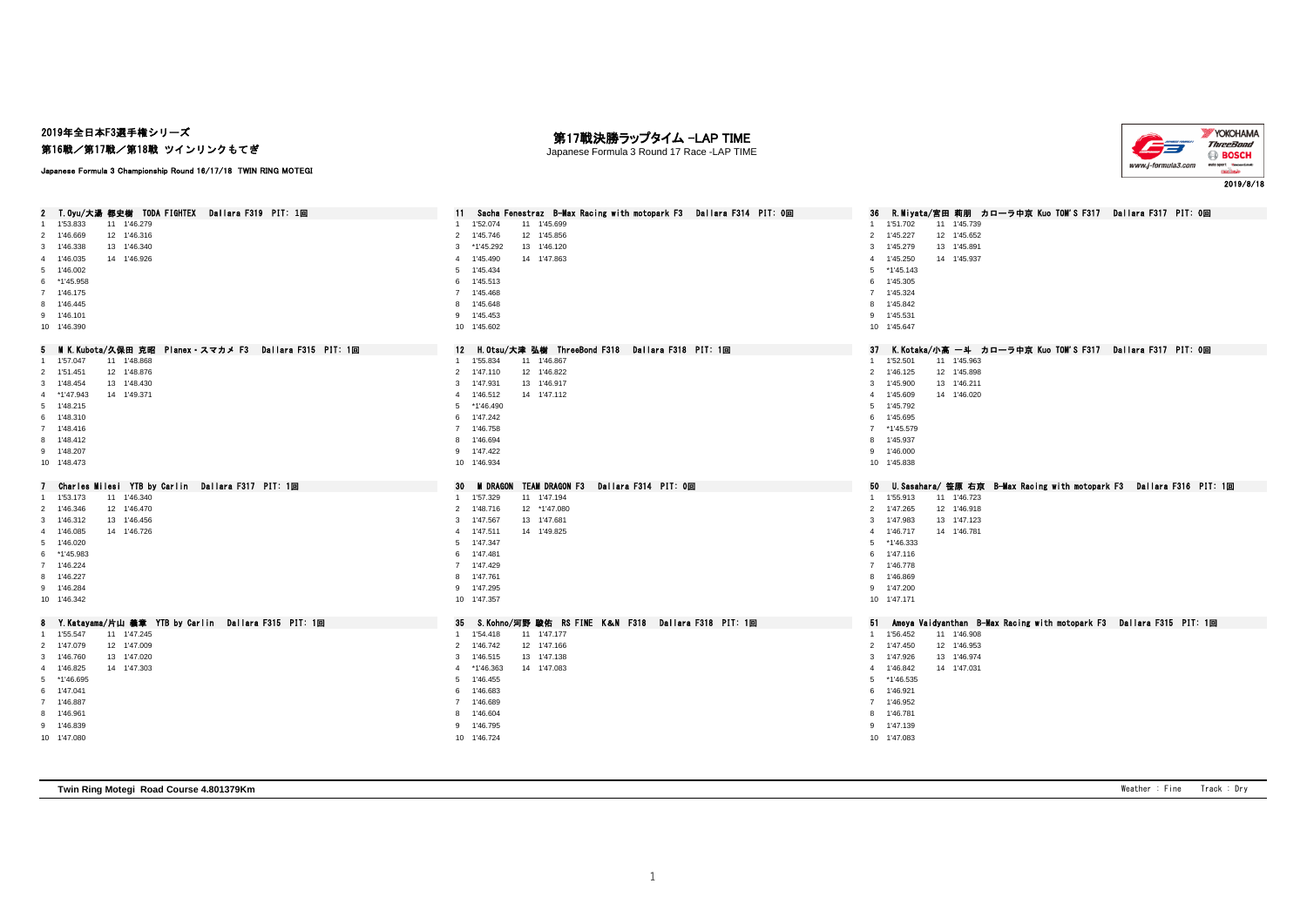## 2019年全日本F3選手権シリーズ 第16戦/第17戦/第18戦 ツインリンクもてぎ

#### 第17戦決勝ラップタイム -LAP TIME Japanese Formula 3 Round 17 Race -LAP TIME



Japanese Formula 3 Championship Round 16/17/18 TWIN RING MOTEGI

| 2 T. Oyu/大湯 都史樹 TODA FIGHTEX Dallara F319 PIT: 1回        | Sacha Fenestraz B-Max Racing with motopark F3 Dallara F314 PIT: 0回<br>11 | - R.Miyata/宮田 莉朋 カローラ中京 Kuo TOM'S F317 - Dallara F317 - PIT: 0回<br>36   |
|----------------------------------------------------------|--------------------------------------------------------------------------|-------------------------------------------------------------------------|
| 11 1'46.279<br>1'53.833                                  | 1'52.074<br>11 1'45.699<br>$\overline{1}$                                | 1 1'51.702<br>11 1'45.739                                               |
| 12 1'46.316<br>2 1'46.669                                | 12 1'45.856<br>$\overline{2}$<br>1'45.746                                | 12 1'45.652<br>2 1'45.227                                               |
| 1'46.338<br>13 1'46.340<br>3                             | *1'45.292<br>13 1'46.120<br>3                                            | 3 1'45.279<br>13 1'45.891                                               |
| 4 1'46.035<br>14 1'46.926                                | 1'45.490<br>14 1'47.863<br>$\overline{4}$                                | 4 1'45.250<br>14 1'45,937                                               |
| 5 1'46.002                                               | -5<br>1'45.434                                                           | 5 *1'45,143                                                             |
| 6 *1'45.958                                              | 6 1'45.513                                                               | 6 1'45.305                                                              |
| 7 1'46.175                                               | 7 1'45.468                                                               | 7 1'45.324                                                              |
| 8 1'46.445                                               | 8 1'45.648                                                               | 8 1'45.842                                                              |
| 9 1'46.101                                               | 9 1'45.453                                                               | 9 1'45.531                                                              |
| 10 1'46.390                                              | 10 1'45.602                                                              | 10 1'45.647                                                             |
|                                                          |                                                                          |                                                                         |
| 5 MK.Kubota/久保田 克昭 Planex・スマカメ F3  Dallara F315 PIT: 1回  | 12 H. Otsu/大津 弘樹 ThreeBond F318 Dallara F318 PIT: 1回                     | 37 K.Kotaka/小高 一斗 カローラ中京 Kuo TOM'S F317 Dallara F317 PIT: 0回            |
| 1 1'57.047<br>11 1'48.868                                | 1'55.834<br>11 1'46.867<br>$\overline{1}$                                | 1 1'52.501<br>11 1'45.963                                               |
| 2 1'51.451<br>12 1'48.876                                | 2 1'47.110<br>12 1'46.822                                                | 2 1'46.125<br>12 1'45.898                                               |
| 3 1'48.454<br>13 1'48.430                                | 13 1'46.917<br>3<br>1'47.931                                             | 3 1'45.900<br>13 1'46.211                                               |
| 4 *1'47.943<br>14 1'49.371                               | $\overline{4}$<br>1'46.512<br>14 1'47.112                                | 4 1'45.609<br>14 1'46.020                                               |
| 5 1'48.215                                               | *1'46.490<br>-5                                                          | 5 1'45.792                                                              |
| 6 1'48.310                                               | 6 1'47.242                                                               | 6 1'45.695                                                              |
| 7 1'48.416                                               | 7 1'46.758                                                               | 7 *1'45.579                                                             |
| 8 1'48.412                                               | 8 1'46.694                                                               | 8 1'45.937                                                              |
| 9 1'48.207                                               | 9 1'47.422                                                               | 9 1'46.000                                                              |
| 10 1'48.473                                              | 10 1'46.934                                                              | 10 1'45.838                                                             |
|                                                          |                                                                          |                                                                         |
|                                                          |                                                                          |                                                                         |
| Charles Milesi YTB by Carlin Dallara F317 PIT: 1回        | TEAM DRAGON F3 Dallara F314 PIT: 0回<br>30<br><b>M DRAGON</b>             | 50 U.Sasahara/笹原 右京 B-Max Racing with motopark F3 Dallara F316 PIT: 1回  |
| 11 1'46.340<br>1 1'53.173                                | 1 1'57.329<br>11 1'47.194                                                | 1 1'55.913<br>11 1'46.723                                               |
| 2 1'46.346<br>12 1'46.470                                | 2<br>1'48.716<br>12 *1'47.080                                            | 2 1'47.265<br>12 1'46.918                                               |
| 3 1'46.312<br>13 1'46.456                                | 3<br>1'47.567<br>13 1'47.681                                             | 3 1'47,983<br>13 1'47.123                                               |
| 4 1'46.085<br>14 1'46.726                                | 1'47.511<br>14 1'49.825<br>$\overline{4}$                                | 4 1'46.717<br>14 1'46.781                                               |
| 5 1'46.020                                               | 1'47.347<br>5                                                            | 5 *1'46.333                                                             |
| 6 *1'45.983                                              | 6 1'47.481                                                               | 6 1'47.116                                                              |
| 7 1'46.224                                               | 7 1'47.429                                                               | 7 1'46.778                                                              |
| 8 1'46.227                                               | 8 1'47.761                                                               | 8 1'46.869                                                              |
| 9 1'46.284                                               | 9 1'47.295                                                               | 9 1'47.200                                                              |
| 10 1'46.342                                              | 10 1'47.357                                                              | 10 1'47.171                                                             |
| Y.Katayama/片山 義章 YTB by Carlin Dallara F315 PIT: 1回<br>8 | S.Kohno/河野 駿佑 RS FINE K&N F318 Dallara F318 PIT: 1回<br>35                | 51 Ameya Vaidyanthan B-Max Racing with motopark F3 Dallara F315 PIT: 1回 |
| 1 1'55.547<br>11 1'47.245                                | 11 1'47.177<br>1'54.418                                                  | 1 1'56.452<br>11 1'46.908                                               |
| 12 1'47.009<br>2 1'47.079                                | $\overline{2}$<br>1'46.742<br>12 1'47.166                                | 2 1'47.450<br>12 1'46.953                                               |
| 13 1'47.020<br>3 1'46.760                                | 1'46.515<br>13 1'47.138<br>3                                             | 3 1'47.926<br>13 1'46.974                                               |
| 4 1'46.825<br>14 1'47.303                                | *1'46.363<br>14 1'47.083<br>$\overline{4}$                               | 4 1'46.842<br>14 1'47.031                                               |
| 5 *1'46.695                                              | 1'46.455<br>-5                                                           | 5 *1'46.535                                                             |
| 6 1'47.041                                               | 1'46.683<br>6                                                            | 6 1'46.921                                                              |
| 7 1'46.887                                               | 1'46.689<br>$\overline{7}$                                               | 7 1'46.952                                                              |
| 8 1'46.961                                               | 8 1'46.604                                                               | 8 1'46.781                                                              |
| 9 1'46.839                                               | 9 1'46.795                                                               | 9 1'47.139                                                              |

**Twin Ring Motegi Road Course 4.801379Km** Weather : Fine Track : Dry